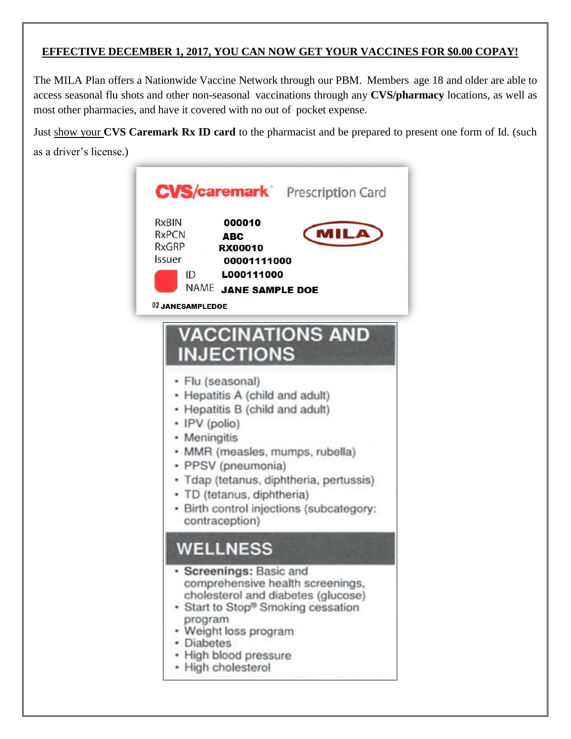## **EFFECTIVE DECEMBER 1, 2017, YOU CAN NOW GET YOUR VACCINES FOR \$0.00 COPAY!**

The MILA Plan offers a Nationwide Vaccine Network through our PBM. Members age 18 and older are able to access seasonal flu shots and other non-seasonal vaccinations through any **CVS/pharmacy** locations, as well as most other pharmacies, and have it covered with no out of pocket expense.

Just show your **CVS Caremark Rx ID card** to the pharmacist and be prepared to present one form of Id. (such as a driver's license.)

| <b>CVS/caremark</b> Prescription Card<br><b>RxBIN</b><br>000010<br><b>MILA</b><br><b>RxPCN</b><br><b>ABC</b><br>RxGRP<br><b>RX00010</b><br>Issuer<br>00001111000<br>ID<br>L000111000<br><b>NAME</b><br><b>JANE SAMPLE DOE</b><br>02 JANESAMPLEDOE                                                                                                                       |
|-------------------------------------------------------------------------------------------------------------------------------------------------------------------------------------------------------------------------------------------------------------------------------------------------------------------------------------------------------------------------|
| <b>VACCINATIONS AND</b><br><b>INJECTIONS</b><br>· Flu (seasonal)<br>• Hepatitis A (child and adult)<br>• Hepatitis B (child and adult)<br>• IPV (polio)<br>• Meningitis<br>· MMR (measles, mumps, rubella)<br>• PPSV (pneumonia)<br>· Tdap (tetanus, diphtheria, pertussis)<br>· TD (tetanus, diphtheria)<br>• Birth control injections (subcategory:<br>contraception) |
| <b>WELLNESS</b><br>· Screenings: Basic and<br>comprehensive health screenings,<br>cholesterol and diabetes (glucose)<br>• Start to Stop® Smoking cessation<br>program<br>• Weight loss program<br>• Diabetes<br>· High blood pressure<br>• High cholesterol                                                                                                             |